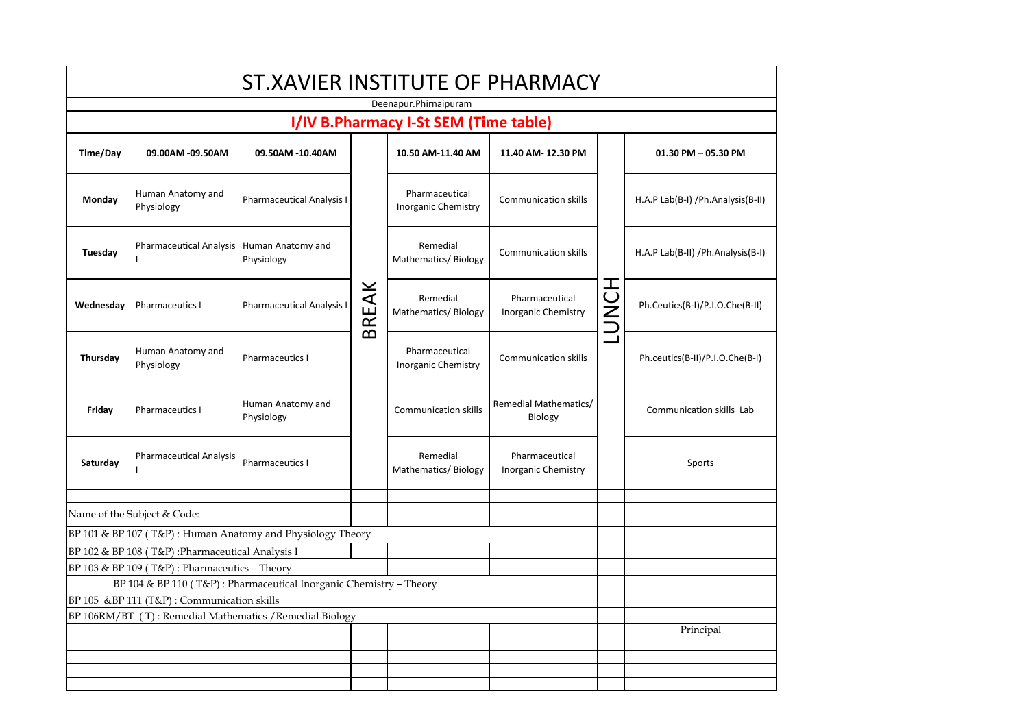| ST.XAVIER INSTITUTE OF PHARMACY |                                                                                                   |                                                                    |       |                                              |                                              |          |                                     |  |  |
|---------------------------------|---------------------------------------------------------------------------------------------------|--------------------------------------------------------------------|-------|----------------------------------------------|----------------------------------------------|----------|-------------------------------------|--|--|
|                                 | Deenapur.Phirnaipuram                                                                             |                                                                    |       |                                              |                                              |          |                                     |  |  |
|                                 |                                                                                                   |                                                                    |       | I/IV B.Pharmacy I-St SEM (Time table)        |                                              |          |                                     |  |  |
| Time/Day                        | 09.00AM -09.50AM                                                                                  | 09.50AM -10.40AM                                                   |       | 10.50 AM-11.40 AM                            | 11.40 AM-12.30 PM                            |          | 01.30 PM - 05.30 PM                 |  |  |
| Monday                          | Human Anatomy and<br>Physiology                                                                   | Pharmaceutical Analysis I                                          | BREAK | Pharmaceutical<br>Inorganic Chemistry        | <b>Communication skills</b>                  |          | H.A.P Lab(B-I) / Ph.Analysis(B-II)  |  |  |
| Tuesday                         | <b>Pharmaceutical Analysis</b>                                                                    | Human Anatomy and<br>Physiology                                    |       | Remedial<br>Mathematics/Biology              | <b>Communication skills</b>                  |          | H.A.P Lab(B-II) / Ph.Analysis (B-I) |  |  |
| Wednesday                       | Pharmaceutics I                                                                                   | <b>Pharmaceutical Analysis I</b>                                   |       | Remedial<br>Mathematics/Biology              | Pharmaceutical<br>Inorganic Chemistry        | I<br>ことつ | Ph.Ceutics(B-I)/P.I.O.Che(B-II)     |  |  |
| Thursday                        | Human Anatomy and<br>Physiology                                                                   | Pharmaceutics I                                                    |       | Pharmaceutical<br><b>Inorganic Chemistry</b> | <b>Communication skills</b>                  |          | Ph.ceutics(B-II)/P.I.O.Che(B-I)     |  |  |
| Friday                          | Pharmaceutics I                                                                                   | Human Anatomy and<br>Physiology                                    |       | <b>Communication skills</b>                  | Remedial Mathematics/<br>Biology             |          | Communication skills Lab            |  |  |
| Saturday                        | <b>Pharmaceutical Analysis</b>                                                                    | Pharmaceutics I                                                    |       | Remedial<br>Mathematics/Biology              | Pharmaceutical<br><b>Inorganic Chemistry</b> |          | Sports                              |  |  |
|                                 |                                                                                                   |                                                                    |       |                                              |                                              |          |                                     |  |  |
|                                 | Name of the Subject & Code:                                                                       |                                                                    |       |                                              |                                              |          |                                     |  |  |
|                                 |                                                                                                   | BP 101 & BP 107 (T&P): Human Anatomy and Physiology Theory         |       |                                              |                                              |          |                                     |  |  |
|                                 | BP 102 & BP 108 (T&P) :Pharmaceutical Analysis I<br>BP 103 & BP 109 (T&P): Pharmaceutics - Theory |                                                                    |       |                                              |                                              |          |                                     |  |  |
|                                 |                                                                                                   | BP 104 & BP 110 (T&P): Pharmaceutical Inorganic Chemistry - Theory |       |                                              |                                              |          |                                     |  |  |
|                                 | BP 105 & BP 111 (T&P) : Communication skills                                                      |                                                                    |       |                                              |                                              |          |                                     |  |  |
|                                 | BP 106RM/BT (T): Remedial Mathematics / Remedial Biology                                          |                                                                    |       |                                              |                                              |          |                                     |  |  |
|                                 |                                                                                                   |                                                                    |       |                                              |                                              |          | Principal                           |  |  |
|                                 |                                                                                                   |                                                                    |       |                                              |                                              |          |                                     |  |  |
|                                 |                                                                                                   |                                                                    |       |                                              |                                              |          |                                     |  |  |
|                                 |                                                                                                   |                                                                    |       |                                              |                                              |          |                                     |  |  |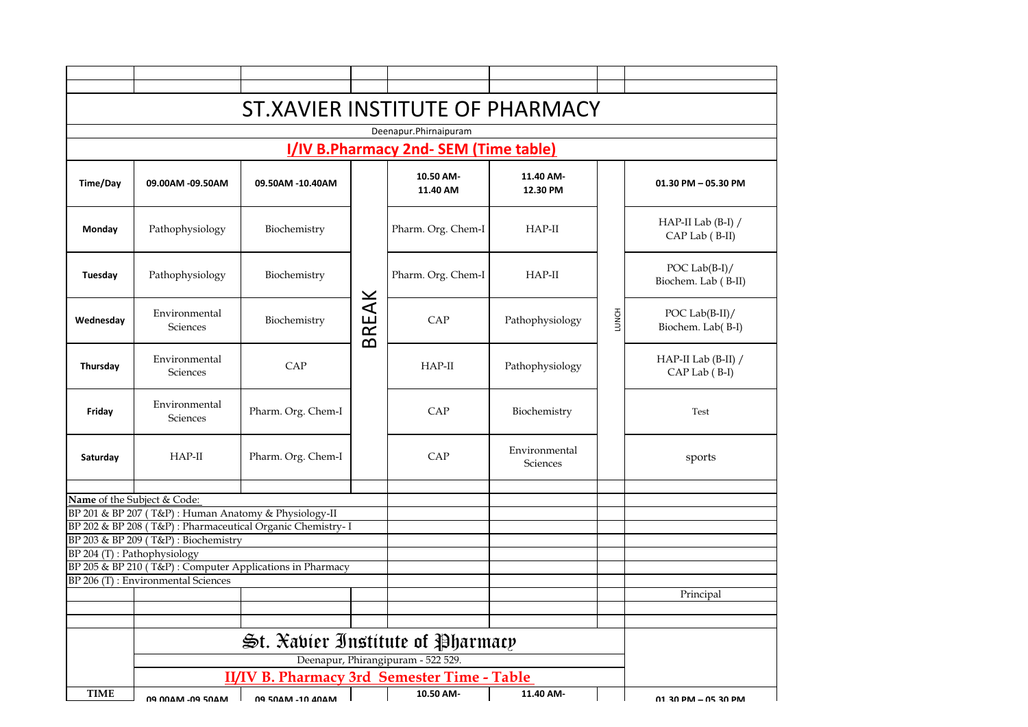| Deenapur.Phirnaipuram                                                                          |                                                      |                                                            |       |                                    |                           |       |                                          |  |  |  |  |
|------------------------------------------------------------------------------------------------|------------------------------------------------------|------------------------------------------------------------|-------|------------------------------------|---------------------------|-------|------------------------------------------|--|--|--|--|
|                                                                                                | I/IV B.Pharmacy 2nd- SEM (Time table)                |                                                            |       |                                    |                           |       |                                          |  |  |  |  |
| Time/Day                                                                                       | 09.00AM -09.50AM                                     | 09.50AM -10.40AM                                           |       | 10.50 AM-<br>11.40 AM              | 11.40 AM-<br>12.30 PM     |       | 01.30 PM - 05.30 PM                      |  |  |  |  |
| Monday                                                                                         | Pathophysiology                                      | Biochemistry                                               | BREAK | Pharm. Org. Chem-I                 | $HAP-II$                  |       | HAP-II Lab $(B-I) /$<br>CAP Lab (B-II)   |  |  |  |  |
| Tuesday                                                                                        | Pathophysiology                                      | Biochemistry                                               |       | Pharm. Org. Chem-I                 | $HAP-II$                  |       | POC Lab $(B-I)$ /<br>Biochem. Lab (B-II) |  |  |  |  |
| Wednesday                                                                                      | Environmental<br>Sciences                            | Biochemistry                                               |       | CAP                                | Pathophysiology           | LUNCH | POC Lab $(B-II)/$<br>Biochem. Lab(B-I)   |  |  |  |  |
| Thursday                                                                                       | Environmental<br><b>Sciences</b>                     | CAP                                                        |       | $HAP-II$                           | Pathophysiology           |       | HAP-II Lab (B-II) /<br>CAP Lab (B-I)     |  |  |  |  |
| Friday                                                                                         | Environmental<br><b>Sciences</b>                     | Pharm. Org. Chem-I                                         |       | CAP                                | Biochemistry              |       | Test                                     |  |  |  |  |
| Saturday                                                                                       | $HAP-II$                                             | Pharm. Org. Chem-I                                         |       | CAP                                | Environmental<br>Sciences |       | sports                                   |  |  |  |  |
|                                                                                                | Name of the Subject & Code:                          |                                                            |       |                                    |                           |       |                                          |  |  |  |  |
|                                                                                                | BP 201 & BP 207 (T&P): Human Anatomy & Physiology-II |                                                            |       |                                    |                           |       |                                          |  |  |  |  |
|                                                                                                |                                                      | BP 202 & BP 208 (T&P): Pharmaceutical Organic Chemistry- I |       |                                    |                           |       |                                          |  |  |  |  |
|                                                                                                | BP 203 & BP 209 (T&P): Biochemistry                  |                                                            |       |                                    |                           |       |                                          |  |  |  |  |
|                                                                                                | BP 204 (T): Pathophysiology                          |                                                            |       |                                    |                           |       |                                          |  |  |  |  |
| BP 205 & BP 210 (T&P): Computer Applications in Pharmacy<br>BP 206 (T): Environmental Sciences |                                                      |                                                            |       |                                    |                           |       |                                          |  |  |  |  |
|                                                                                                |                                                      |                                                            |       |                                    |                           |       | Principal                                |  |  |  |  |
|                                                                                                |                                                      |                                                            |       |                                    |                           |       |                                          |  |  |  |  |
|                                                                                                |                                                      |                                                            |       |                                    |                           |       |                                          |  |  |  |  |
|                                                                                                |                                                      | $\mathfrak{S}$ t. Xabier Institute of Pharmacy             |       |                                    |                           |       |                                          |  |  |  |  |
|                                                                                                |                                                      |                                                            |       | Deenapur, Phirangipuram - 522 529. |                           |       |                                          |  |  |  |  |
|                                                                                                |                                                      | II/IV B. Pharmacy 3rd Semester Time - Table                |       |                                    |                           |       |                                          |  |  |  |  |
| <b>TIME</b>                                                                                    | <b>NO NO AN AN AND COARD</b>                         | <b>NO COARS 10 SOARS</b>                                   |       | 10.50 AM-                          | 11.40 AM-                 |       | 01 20 DM = 05 20 DM                      |  |  |  |  |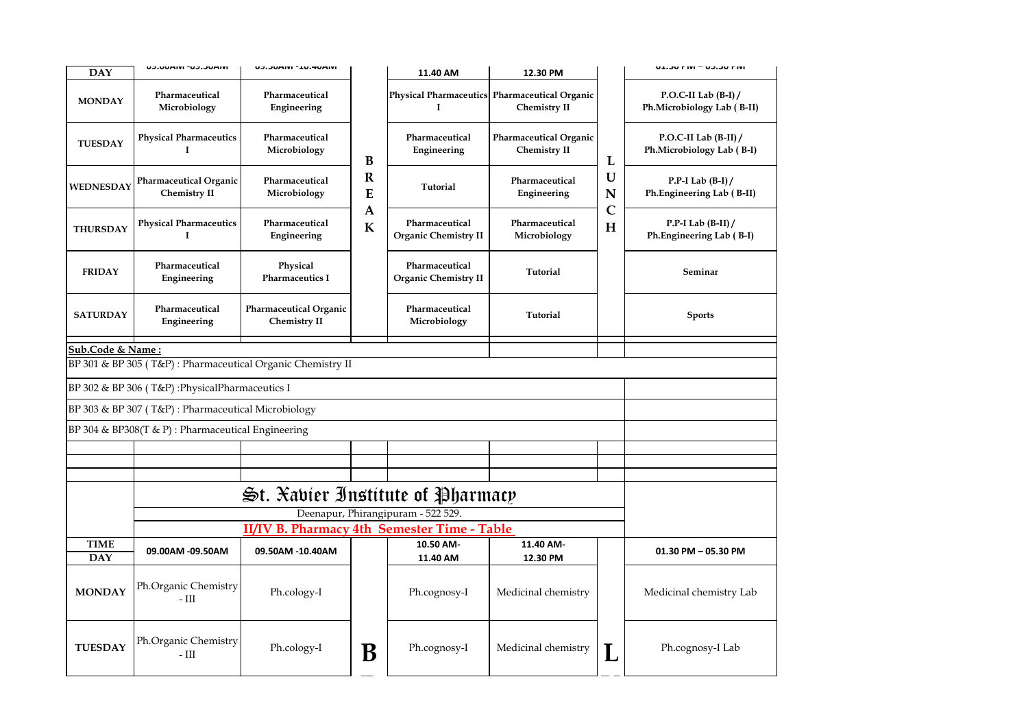| <b>DAY</b>                                         | UJIUMINI "UJIJUMINI                                | UJIJUMIVI - IUIMUMIVI                                      |                  | 11.40 AM                                      | 12.30 PM                                                             |                   | ואות טכונט – ואות טכובט                              |  |
|----------------------------------------------------|----------------------------------------------------|------------------------------------------------------------|------------------|-----------------------------------------------|----------------------------------------------------------------------|-------------------|------------------------------------------------------|--|
| <b>MONDAY</b>                                      | Pharmaceutical<br>Microbiology                     | Pharmaceutical<br>Engineering                              |                  | I                                             | Physical Pharmaceutics Pharmaceutical Organic<br><b>Chemistry II</b> |                   | P.O.C-II Lab $(B-I)$ /<br>Ph.Microbiology Lab (B-II) |  |
| <b>TUESDAY</b>                                     | <b>Physical Pharmaceutics</b><br>1                 | Pharmaceutical<br>Microbiology                             | B                | Pharmaceutical<br>Engineering                 | <b>Pharmaceutical Organic</b><br><b>Chemistry II</b>                 | L                 | P.O.C-II Lab $(B-II) /$<br>Ph.Microbiology Lab (B-I) |  |
| WEDNESDAY                                          | Pharmaceutical Organic<br>Chemistry II             | Pharmaceutical<br>Microbiology                             | $\mathbf R$<br>E | Tutorial                                      | Pharmaceutical<br>Engineering                                        | U<br>N            | P.P-I Lab $(B-I)$ /<br>Ph.Engineering Lab (B-II)     |  |
| <b>THURSDAY</b>                                    | <b>Physical Pharmaceutics</b><br>$\mathbf I$       | Pharmaceutical<br>Engineering                              | A<br>$\bf K$     | Pharmaceutical<br>Organic Chemistry II        | Pharmaceutical<br>Microbiology                                       | $\mathsf{C}$<br>H | P.P-I Lab $(B-II)$<br>Ph.Engineering Lab (B-I)       |  |
| <b>FRIDAY</b>                                      | Pharmaceutical<br>Engineering                      | Physical<br><b>Pharmaceutics I</b>                         |                  | Pharmaceutical<br><b>Organic Chemistry II</b> | Tutorial                                                             |                   | Seminar                                              |  |
| <b>SATURDAY</b>                                    | Pharmaceutical<br>Engineering                      | Pharmaceutical Organic<br><b>Chemistry II</b>              |                  | Pharmaceutical<br>Microbiology                | Tutorial                                                             |                   | <b>Sports</b>                                        |  |
| Sub.Code & Name:                                   |                                                    |                                                            |                  |                                               |                                                                      |                   |                                                      |  |
|                                                    |                                                    | BP 301 & BP 305 (T&P): Pharmaceutical Organic Chemistry II |                  |                                               |                                                                      |                   |                                                      |  |
|                                                    | BP 302 & BP 306 (T&P): Physical Pharmaceutics I    |                                                            |                  |                                               |                                                                      |                   |                                                      |  |
|                                                    | BP 303 & BP 307 (T&P): Pharmaceutical Microbiology |                                                            |                  |                                               |                                                                      |                   |                                                      |  |
| BP 304 & BP308(T & P) : Pharmaceutical Engineering |                                                    |                                                            |                  |                                               |                                                                      |                   |                                                      |  |
|                                                    |                                                    |                                                            |                  |                                               |                                                                      |                   |                                                      |  |
|                                                    |                                                    |                                                            |                  |                                               |                                                                      |                   |                                                      |  |
|                                                    |                                                    |                                                            |                  |                                               |                                                                      |                   |                                                      |  |
|                                                    |                                                    | $\mathfrak{S}$ t. Xabier Institute of Pharmacy             |                  |                                               |                                                                      |                   |                                                      |  |
|                                                    |                                                    |                                                            |                  | Deenapur, Phirangipuram - 522 529.            |                                                                      |                   |                                                      |  |
|                                                    |                                                    | II/IV B. Pharmacy 4th Semester Time - Table                |                  |                                               |                                                                      |                   |                                                      |  |
| <b>TIME</b><br><b>DAY</b>                          | 09.00AM -09.50AM                                   | 09.50AM -10.40AM                                           |                  | 10.50 AM-<br>11.40 AM                         | 11.40 AM-<br>12.30 PM                                                |                   | 01.30 PM - 05.30 PM                                  |  |
| <b>MONDAY</b>                                      | Ph.Organic Chemistry<br>$-III$                     | Ph.cology-I                                                |                  | Ph.cognosy-I                                  | Medicinal chemistry                                                  |                   | Medicinal chemistry Lab                              |  |
| <b>TUESDAY</b>                                     | Ph.Organic Chemistry<br>$-$ III                    | Ph.cology-I                                                | B                | Ph.cognosy-I                                  | Medicinal chemistry                                                  |                   | Ph.cognosy-I Lab                                     |  |
|                                                    |                                                    |                                                            |                  |                                               |                                                                      |                   |                                                      |  |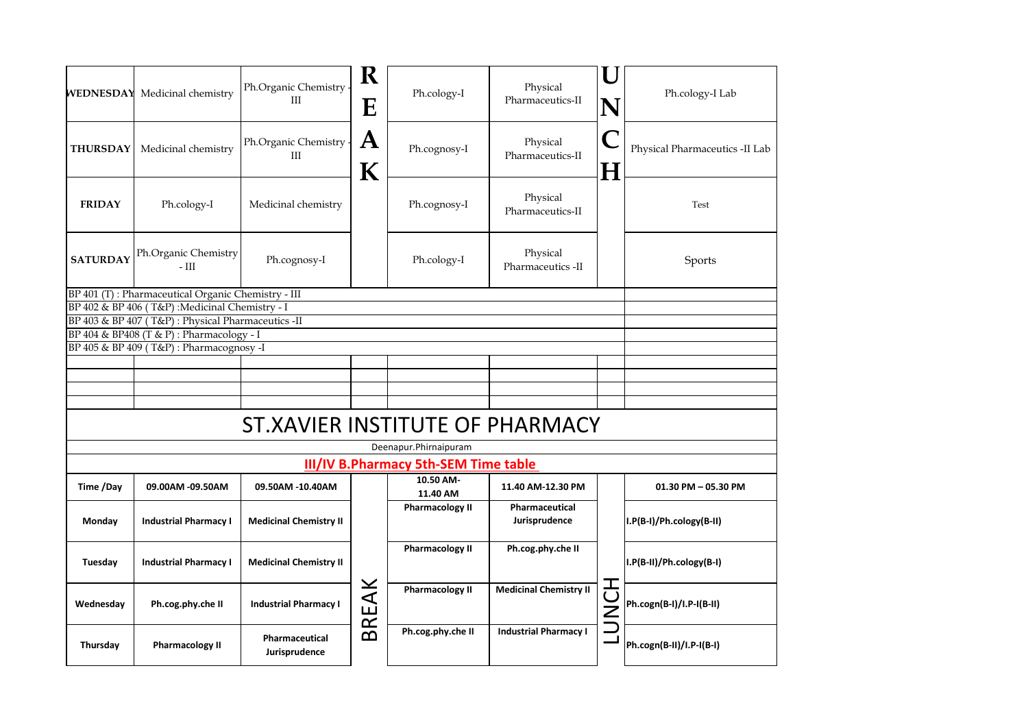|                 | <b>WEDNESDAY</b> Medicinal chemistry               | Ph.Organic Chemistry<br>III         | R<br>E           | Ph.cology-I                                 | Physical<br>Pharmaceutics-II    |        | Ph.cology-I Lab                |
|-----------------|----------------------------------------------------|-------------------------------------|------------------|---------------------------------------------|---------------------------------|--------|--------------------------------|
| <b>THURSDAY</b> | Medicinal chemistry                                | Ph.Organic Chemistry -<br>$\rm III$ | $\mathbf A$<br>К | Ph.cognosy-I                                | Physical<br>Pharmaceutics-II    | Н      | Physical Pharmaceutics -II Lab |
| <b>FRIDAY</b>   | Ph.cology-I                                        | Medicinal chemistry                 |                  | Ph.cognosy-I                                | Physical<br>Pharmaceutics-II    |        | Test                           |
| <b>SATURDAY</b> | Ph.Organic Chemistry<br>$-III$                     | Ph.cognosy-I                        |                  | Ph.cology-I                                 | Physical<br>Pharmaceutics -II   |        | Sports                         |
|                 | BP 401 (T): Pharmaceutical Organic Chemistry - III |                                     |                  |                                             |                                 |        |                                |
|                 | BP 402 & BP 406 (T&P): Medicinal Chemistry - I     |                                     |                  |                                             |                                 |        |                                |
|                 | BP 403 & BP 407 (T&P): Physical Pharmaceutics -II  |                                     |                  |                                             |                                 |        |                                |
|                 | BP 404 & BP408 (T & P) : Pharmacology - I          |                                     |                  |                                             |                                 |        |                                |
|                 | BP 405 & BP 409 (T&P): Pharmacognosy -I            |                                     |                  |                                             |                                 |        |                                |
|                 |                                                    |                                     |                  |                                             |                                 |        |                                |
|                 |                                                    |                                     |                  |                                             |                                 |        |                                |
|                 |                                                    |                                     |                  |                                             |                                 |        |                                |
|                 |                                                    |                                     |                  |                                             |                                 |        |                                |
|                 |                                                    |                                     |                  |                                             |                                 |        |                                |
|                 |                                                    | ST.XAVIER INSTITUTE OF PHARMACY     |                  |                                             |                                 |        |                                |
|                 |                                                    |                                     |                  | Deenapur.Phirnaipuram                       |                                 |        |                                |
|                 |                                                    |                                     |                  | <b>III/IV B.Pharmacy 5th-SEM Time table</b> |                                 |        |                                |
| Time /Day       | 09.00AM -09.50AM                                   | 09.50AM -10.40AM                    |                  | 10.50 AM-<br>11.40 AM                       | 11.40 AM-12.30 PM               |        | 01.30 PM - 05.30 PM            |
| Monday          | <b>Industrial Pharmacy I</b>                       | <b>Medicinal Chemistry II</b>       |                  | <b>Pharmacology II</b>                      | Pharmaceutical<br>Jurisprudence |        | I.P(B-I)/Ph.cology(B-II)       |
| Tuesday         | <b>Industrial Pharmacy I</b>                       | <b>Medicinal Chemistry II</b>       |                  | <b>Pharmacology II</b>                      | Ph.cog.phy.che II               |        | I.P(B-II)/Ph.cology(B-I)       |
| Wednesday       | Ph.cog.phy.che II                                  | <b>Industrial Pharmacy I</b>        | BREAK            | <b>Pharmacology II</b>                      | <b>Medicinal Chemistry II</b>   | 工<br>Š | Ph.cogn(B-I)/I.P-I(B-II)       |
| Thursday        | <b>Pharmacology II</b>                             | Pharmaceutical<br>Jurisprudence     |                  | Ph.cog.phy.che II                           | <b>Industrial Pharmacy I</b>    |        | Ph.cogn(B-II)/I.P-I(B-I)       |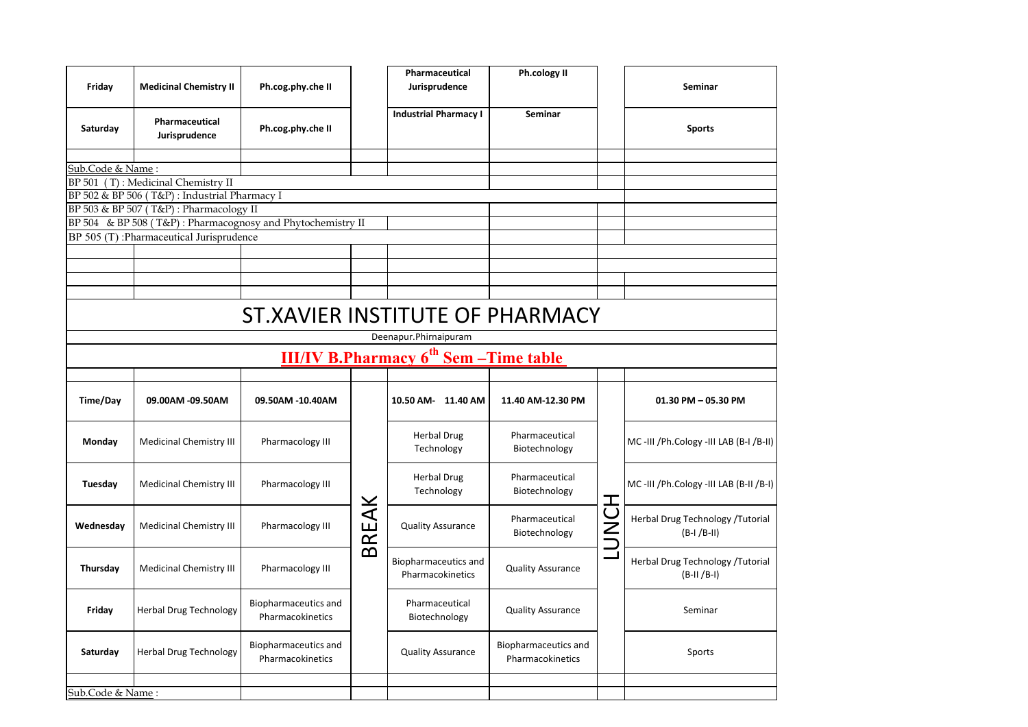| Friday           | <b>Medicinal Chemistry II</b>                                                           | Ph.cog.phy.che II                        |      | Pharmaceutical<br>Jurisprudence             | <b>Ph.cology II</b>                      |     | Seminar                                          |  |  |  |
|------------------|-----------------------------------------------------------------------------------------|------------------------------------------|------|---------------------------------------------|------------------------------------------|-----|--------------------------------------------------|--|--|--|
| Saturday         | Pharmaceutical<br>Jurisprudence                                                         | Ph.cog.phy.che II                        |      | <b>Industrial Pharmacy I</b>                | Seminar                                  |     | <b>Sports</b>                                    |  |  |  |
| Sub.Code & Name: |                                                                                         |                                          |      |                                             |                                          |     |                                                  |  |  |  |
|                  | BP 501 (T): Medicinal Chemistry II                                                      |                                          |      |                                             |                                          |     |                                                  |  |  |  |
|                  | BP 502 & BP 506 (T&P) : Industrial Pharmacy I<br>BP 503 & BP 507 (T&P): Pharmacology II |                                          |      |                                             |                                          |     |                                                  |  |  |  |
|                  | BP 504 & BP 508 (T&P): Pharmacognosy and Phytochemistry II                              |                                          |      |                                             |                                          |     |                                                  |  |  |  |
|                  | BP 505 (T): Pharmaceutical Jurisprudence                                                |                                          |      |                                             |                                          |     |                                                  |  |  |  |
|                  |                                                                                         |                                          |      |                                             |                                          |     |                                                  |  |  |  |
|                  |                                                                                         |                                          |      |                                             |                                          |     |                                                  |  |  |  |
|                  |                                                                                         |                                          |      |                                             |                                          |     |                                                  |  |  |  |
|                  | ST.XAVIER INSTITUTE OF PHARMACY<br>Deenapur.Phirnaipuram                                |                                          |      |                                             |                                          |     |                                                  |  |  |  |
|                  |                                                                                         |                                          |      | $III/IV$ B. Pharmacy $6th$ Sem - Time table |                                          |     |                                                  |  |  |  |
|                  |                                                                                         |                                          |      |                                             |                                          |     |                                                  |  |  |  |
| Time/Day         | 09.00AM -09.50AM                                                                        | 09.50AM -10.40AM                         |      | 10.50 AM- 11.40 AM                          | 11.40 AM-12.30 PM                        |     | 01.30 PM - 05.30 PM                              |  |  |  |
| Monday           | Medicinal Chemistry III                                                                 | Pharmacology III                         |      | <b>Herbal Drug</b><br>Technology            | Pharmaceutical<br>Biotechnology          |     | MC-III /Ph.Cology -III LAB (B-I /B-II)           |  |  |  |
| Tuesday          | Medicinal Chemistry III                                                                 | Pharmacology III                         |      | <b>Herbal Drug</b><br>Technology            | Pharmaceutical<br>Biotechnology          | 工   | MC-III /Ph.Cology -III LAB (B-II /B-I)           |  |  |  |
| Wednesday        | Medicinal Chemistry III                                                                 | Pharmacology III                         | REAK | <b>Quality Assurance</b>                    | Pharmaceutical<br>Biotechnology          | UNU | Herbal Drug Technology /Tutorial<br>$(B-I/B-II)$ |  |  |  |
| Thursday         | Medicinal Chemistry III                                                                 | Pharmacology III                         | മ    | Biopharmaceutics and<br>Pharmacokinetics    | <b>Quality Assurance</b>                 |     | Herbal Drug Technology /Tutorial<br>$(B-II/B-I)$ |  |  |  |
|                  |                                                                                         |                                          |      |                                             |                                          |     |                                                  |  |  |  |
| Friday           | Herbal Drug Technology                                                                  | Biopharmaceutics and<br>Pharmacokinetics |      | Pharmaceutical<br>Biotechnology             | <b>Quality Assurance</b>                 |     | Seminar                                          |  |  |  |
| Saturday         | <b>Herbal Drug Technology</b>                                                           | Biopharmaceutics and<br>Pharmacokinetics |      | <b>Quality Assurance</b>                    | Biopharmaceutics and<br>Pharmacokinetics |     | Sports                                           |  |  |  |
| Sub.Code & Name: |                                                                                         |                                          |      |                                             |                                          |     |                                                  |  |  |  |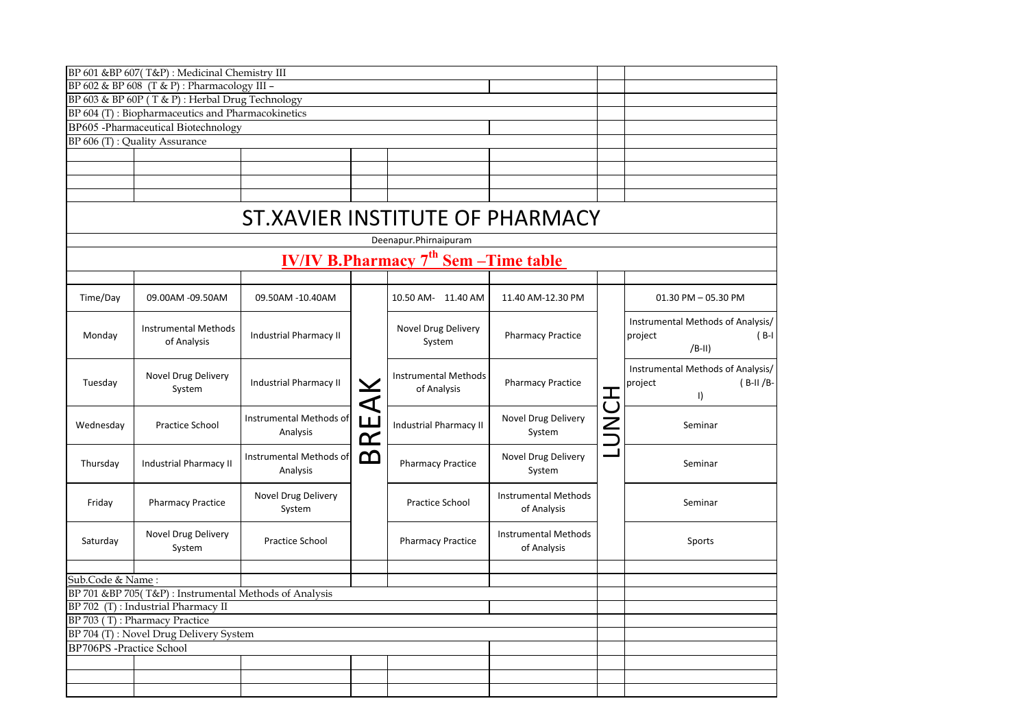|                                                       | BP 601 &BP 607(T&P): Medicinal Chemistry III      |                                     |       |                                                         |                                            |   |                                                                       |
|-------------------------------------------------------|---------------------------------------------------|-------------------------------------|-------|---------------------------------------------------------|--------------------------------------------|---|-----------------------------------------------------------------------|
|                                                       |                                                   |                                     |       |                                                         |                                            |   |                                                                       |
|                                                       | BP 602 & BP 608 (T & P): Pharmacology III -       |                                     |       |                                                         |                                            |   |                                                                       |
|                                                       | BP 603 & BP 60P (T & P): Herbal Drug Technology   |                                     |       |                                                         |                                            |   |                                                                       |
|                                                       | BP 604 (T): Biopharmaceutics and Pharmacokinetics |                                     |       |                                                         |                                            |   |                                                                       |
|                                                       | BP605 -Pharmaceutical Biotechnology               |                                     |       |                                                         |                                            |   |                                                                       |
|                                                       | BP 606 (T) : Quality Assurance                    |                                     |       |                                                         |                                            |   |                                                                       |
|                                                       |                                                   |                                     |       |                                                         |                                            |   |                                                                       |
|                                                       |                                                   |                                     |       |                                                         |                                            |   |                                                                       |
|                                                       |                                                   |                                     |       |                                                         |                                            |   |                                                                       |
|                                                       |                                                   |                                     |       |                                                         |                                            |   |                                                                       |
|                                                       |                                                   | ST.XAVIER INSTITUTE OF PHARMACY     |       |                                                         |                                            |   |                                                                       |
|                                                       |                                                   |                                     |       | Deenapur.Phirnaipuram                                   |                                            |   |                                                                       |
|                                                       |                                                   |                                     |       | <u>IV/IV B.Pharmacy 7<sup>th</sup> Sem – Time table</u> |                                            |   |                                                                       |
|                                                       |                                                   |                                     |       |                                                         |                                            |   |                                                                       |
| Time/Day                                              | 09.00AM -09.50AM                                  | 09.50AM -10.40AM                    |       | 10.50 AM- 11.40 AM                                      | 11.40 AM-12.30 PM                          |   | 01.30 PM - 05.30 PM                                                   |
| Monday                                                | <b>Instrumental Methods</b><br>of Analysis        | <b>Industrial Pharmacy II</b>       |       | Novel Drug Delivery<br>System                           | <b>Pharmacy Practice</b>                   |   | Instrumental Methods of Analysis/<br>$(B-I)$<br>project<br>$/B-II)$   |
| Tuesday                                               | <b>Novel Drug Delivery</b><br>System              | <b>Industrial Pharmacy II</b>       |       | <b>Instrumental Methods</b><br>of Analysis              | <b>Pharmacy Practice</b>                   | こ | Instrumental Methods of Analysis/<br>$(B-II/B-$<br>project<br>$\vert$ |
| Wednesday                                             | Practice School                                   | Instrumental Methods of<br>Analysis | BREAK | <b>Industrial Pharmacy II</b>                           | Novel Drug Delivery<br>System              |   | Seminar                                                               |
| Thursday                                              | <b>Industrial Pharmacy II</b>                     | Instrumental Methods of<br>Analysis |       | <b>Pharmacy Practice</b>                                | Novel Drug Delivery<br>System              |   | Seminar                                                               |
| Friday                                                | <b>Pharmacy Practice</b>                          | Novel Drug Delivery<br>System       |       | Practice School                                         | <b>Instrumental Methods</b><br>of Analysis |   | Seminar                                                               |
| Saturday                                              | Novel Drug Delivery<br>System                     | <b>Practice School</b>              |       | <b>Pharmacy Practice</b>                                | <b>Instrumental Methods</b><br>of Analysis |   | Sports                                                                |
|                                                       |                                                   |                                     |       |                                                         |                                            |   |                                                                       |
| Sub.Code & Name:                                      |                                                   |                                     |       |                                                         |                                            |   |                                                                       |
| BP 701 &BP 705(T&P): Instrumental Methods of Analysis |                                                   |                                     |       |                                                         |                                            |   |                                                                       |
|                                                       | BP 702 (T): Industrial Pharmacy II                |                                     |       |                                                         |                                            |   |                                                                       |
|                                                       | BP 703 (T): Pharmacy Practice                     |                                     |       |                                                         |                                            |   |                                                                       |
|                                                       | BP 704 (T): Novel Drug Delivery System            |                                     |       |                                                         |                                            |   |                                                                       |
| BP706PS -Practice School                              |                                                   |                                     |       |                                                         |                                            |   |                                                                       |
|                                                       |                                                   |                                     |       |                                                         |                                            |   |                                                                       |
|                                                       |                                                   |                                     |       |                                                         |                                            |   |                                                                       |
|                                                       |                                                   |                                     |       |                                                         |                                            |   |                                                                       |